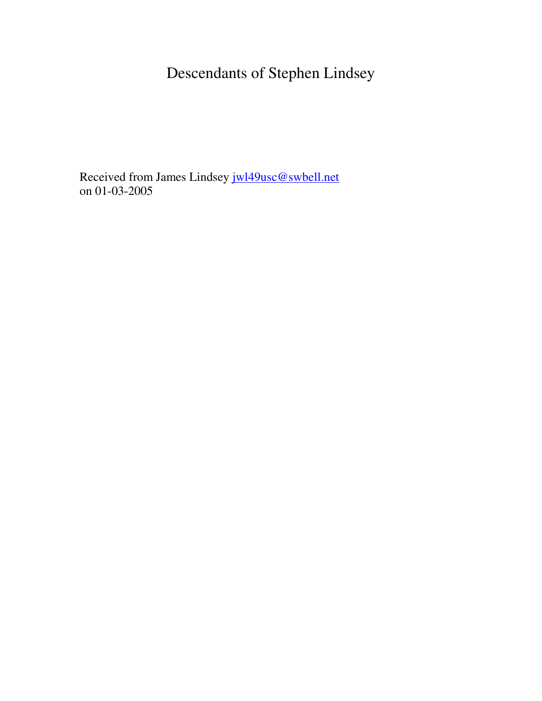Descendants of Stephen Lindsey

Received from James Lindsey jwl49usc@swbell.net on 01-03-2005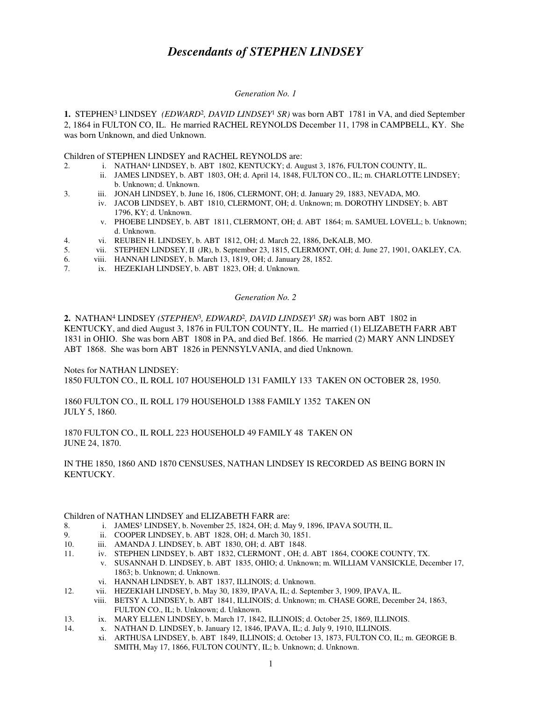# *Descendants of STEPHEN LINDSEY*

### *Generation No. 1*

1. STEPHEN<sup>3</sup> LINDSEY (EDWARD<sup>2</sup>, DAVID LINDSEY<sup>1</sup> SR) was born ABT 1781 in VA, and died September 2, 1864 in FULTON CO, IL. He married RACHEL REYNOLDS December 11, 1798 in CAMPBELL, KY. She was born Unknown, and died Unknown.

## Children of STEPHEN LINDSEY and RACHEL REYNOLDS are:

- 2. i. NATHAN<sup>4</sup> LINDSEY, b. ABT 1802, KENTUCKY; d. August 3, 1876, FULTON COUNTY, IL.
	- ii. JAMES LINDSEY, b. ABT 1803, OH; d. April 14, 1848, FULTON CO., IL; m. CHARLOTTE LINDSEY; b. Unknown; d. Unknown.
- 3. iii. JONAH LINDSEY, b. June 16, 1806, CLERMONT, OH; d. January 29, 1883, NEVADA, MO.
	- iv. JACOB LINDSEY, b. ABT 1810, CLERMONT, OH; d. Unknown; m. DOROTHY LINDSEY; b. ABT 1796, KY; d. Unknown.
	- v. PHOEBE LINDSEY, b. ABT 1811, CLERMONT, OH; d. ABT 1864; m. SAMUEL LOVELL; b. Unknown; d. Unknown.
- 4. vi. REUBEN H. LINDSEY, b. ABT 1812, OH; d. March 22, 1886, DeKALB, MO.
- 5. vii. STEPHEN LINDSEY, II (JR), b. September 23, 1815, CLERMONT, OH; d. June 27, 1901, OAKLEY, CA.
- 6. viii. HANNAH LINDSEY, b. March 13, 1819, OH; d. January 28, 1852.
- 7. ix. HEZEKIAH LINDSEY, b. ABT 1823, OH; d. Unknown.

## *Generation No. 2*

**2.** NATHAN<sup>4</sup> LINDSEY *(STEPHEN*<sup>3</sup> *, EDWARD*<sup>2</sup> *, DAVID LINDSEY*<sup>1</sup>  *SR)* was born ABT 1802 in KENTUCKY, and died August 3, 1876 in FULTON COUNTY, IL. He married (1) ELIZABETH FARR ABT 1831 in OHIO. She was born ABT 1808 in PA, and died Bef. 1866. He married (2) MARY ANN LINDSEY ABT 1868. She was born ABT 1826 in PENNSYLVANIA, and died Unknown.

Notes for NATHAN LINDSEY:

1850 FULTON CO., IL ROLL 107 HOUSEHOLD 131 FAMILY 133 TAKEN ON OCTOBER 28, 1950.

1860 FULTON CO., IL ROLL 179 HOUSEHOLD 1388 FAMILY 1352 TAKEN ON JULY 5, 1860.

# 1870 FULTON CO., IL ROLL 223 HOUSEHOLD 49 FAMILY 48 TAKEN ON JUNE 24, 1870.

# IN THE 1850, 1860 AND 1870 CENSUSES, NATHAN LINDSEY IS RECORDED AS BEING BORN IN KENTUCKY.

# Children of NATHAN LINDSEY and ELIZABETH FARR are:

- 8. i. JAMES<sup>5</sup> LINDSEY, b. November 25, 1824, OH; d. May 9, 1896, IPAVA SOUTH, IL.
- 
- 9. ii. COOPER LINDSEY, b. ABT 1828, OH; d. March 30, 1851.<br>10. iii. AMANDA J. LINDSEY, b. ABT 1830, OH: d. ABT 1848. 10. iii. AMANDA J. LINDSEY, b. ABT 1830, OH; d. ABT 1848.<br>11. iv. STEPHEN LINDSEY, b. ABT 1832, CLERMONT, OH: d
	- iv. STEPHEN LINDSEY, b. ABT 1832, CLERMONT, OH; d. ABT 1864, COOKE COUNTY, TX.
	- v. SUSANNAH D. LINDSEY, b. ABT 1835, OHIO; d. Unknown; m. WILLIAM VANSICKLE, December 17, 1863; b. Unknown; d. Unknown.
		- vi. HANNAH LINDSEY, b. ABT 1837, ILLINOIS; d. Unknown.
- 12. vii. HEZEKIAH LINDSEY, b. May 30, 1839, IPAVA, IL; d. September 3, 1909, IPAVA, IL.
	- viii. BETSY A. LINDSEY, b. ABT 1841, ILLINOIS; d. Unknown; m. CHASE GORE, December 24, 1863, FULTON CO., IL; b. Unknown; d. Unknown.
- 13. ix. MARY ELLEN LINDSEY, b. March 17, 1842, ILLINOIS; d. October 25, 1869, ILLINOIS.
- 14. x. NATHAN D. LINDSEY, b. January 12, 1846, IPAVA, IL; d. July 9, 1910, ILLINOIS.
	- xi. ARTHUSA LINDSEY, b. ABT 1849, ILLINOIS; d. October 13, 1873, FULTON CO, IL; m. GEORGE B. SMITH, May 17, 1866, FULTON COUNTY, IL; b. Unknown; d. Unknown.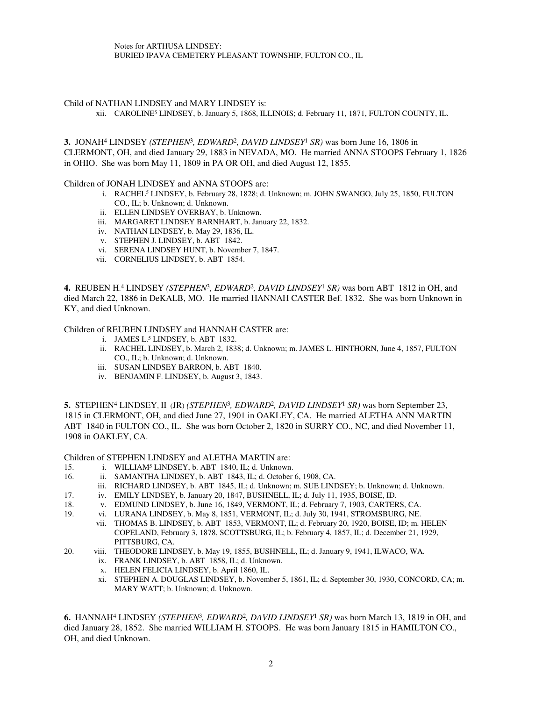Notes for ARTHUSA LINDSEY: BURIED IPAVA CEMETERY PLEASANT TOWNSHIP, FULTON CO., IL

### Child of NATHAN LINDSEY and MARY LINDSEY is:

xii. CAROLINE<sup>5</sup> LINDSEY, b. January 5, 1868, ILLINOIS; d. February 11, 1871, FULTON COUNTY, IL.

**3.** JONAH<sup>4</sup> LINDSEY *(STEPHEN*<sup>3</sup> *, EDWARD*<sup>2</sup> *, DAVID LINDSEY*<sup>1</sup>  *SR)* was born June 16, 1806 in CLERMONT, OH, and died January 29, 1883 in NEVADA, MO. He married ANNA STOOPS February 1, 1826 in OHIO. She was born May 11, 1809 in PA OR OH, and died August 12, 1855.

#### Children of JONAH LINDSEY and ANNA STOOPS are:

- i. RACHEL<sup>5</sup> LINDSEY, b. February 28, 1828; d. Unknown; m. JOHN SWANGO, July 25, 1850, FULTON CO., IL; b. Unknown; d. Unknown.
- ii. ELLEN LINDSEY OVERBAY, b. Unknown.
- iii. MARGARET LINDSEY BARNHART, b. January 22, 1832.
- iv. NATHAN LINDSEY, b. May 29, 1836, IL.
- v. STEPHEN J. LINDSEY, b. ABT 1842.
- vi. SERENA LINDSEY HUNT, b. November 7, 1847.
- vii. CORNELIUS LINDSEY, b. ABT 1854.

4. REUBEN H.<sup>4</sup> LINDSEY (STEPHEN<sup>3</sup>, EDWARD<sup>2</sup>, DAVID LINDSEY<sup>1</sup> SR) was born ABT 1812 in OH, and died March 22, 1886 in DeKALB, MO. He married HANNAH CASTER Bef. 1832. She was born Unknown in KY, and died Unknown.

#### Children of REUBEN LINDSEY and HANNAH CASTER are:

- i. JAMES L. 5 LINDSEY, b. ABT 1832.
- ii. RACHEL LINDSEY, b. March 2, 1838; d. Unknown; m. JAMES L. HINTHORN, June 4, 1857, FULTON CO., IL; b. Unknown; d. Unknown.
- iii. SUSAN LINDSEY BARRON, b. ABT 1840.
- iv. BENJAMIN F. LINDSEY, b. August 3, 1843.

5. STEPHEN<sup>4</sup> LINDSEY, II (JR) (STEPHEN<sup>3</sup>, EDWARD<sup>2</sup>, DAVID LINDSEY<sup>1</sup> SR) was born September 23, 1815 in CLERMONT, OH, and died June 27, 1901 in OAKLEY, CA. He married ALETHA ANN MARTIN ABT 1840 in FULTON CO., IL. She was born October 2, 1820 in SURRY CO., NC, and died November 11, 1908 in OAKLEY, CA.

Children of STEPHEN LINDSEY and ALETHA MARTIN are:

- 15. i. WILLIAM<sup>5</sup> LINDSEY, b. ABT 1840, IL; d. Unknown.
- 16. ii. SAMANTHA LINDSEY, b. ABT 1843, IL; d. October 6, 1908, CA.
	- iii. RICHARD LINDSEY, b. ABT 1845, IL; d. Unknown; m. SUE LINDSEY; b. Unknown; d. Unknown.
- 17. iv. EMILY LINDSEY, b. January 20, 1847, BUSHNELL, IL; d. July 11, 1935, BOISE, ID.
- 18. v. EDMUND LINDSEY, b. June 16, 1849, VERMONT, IL; d. February 7, 1903, CARTERS, CA.
- 19. vi. LURANA LINDSEY, b. May 8, 1851, VERMONT, IL; d. July 30, 1941, STROMSBURG, NE.
	- vii. THOMAS B. LINDSEY, b. ABT 1853, VERMONT, IL; d. February 20, 1920, BOISE, ID; m. HELEN COPELAND, February 3, 1878, SCOTTSBURG, IL; b. February 4, 1857, IL; d. December 21, 1929, PITTSBURG, CA.
- 20. viii. THEODORE LINDSEY, b. May 19, 1855, BUSHNELL, IL; d. January 9, 1941, ILWACO, WA.
	- ix. FRANK LINDSEY, b. ABT 1858, IL; d. Unknown.
	- x. HELEN FELICIA LINDSEY, b. April 1860, IL.
	- xi. STEPHEN A. DOUGLAS LINDSEY, b. November 5, 1861, IL; d. September 30, 1930, CONCORD, CA; m. MARY WATT; b. Unknown; d. Unknown.

**6.** HANNAH<sup>4</sup> LINDSEY *(STEPHEN*<sup>3</sup> *, EDWARD*<sup>2</sup> *, DAVID LINDSEY*<sup>1</sup>  *SR)* was born March 13, 1819 in OH, and died January 28, 1852. She married WILLIAM H. STOOPS. He was born January 1815 in HAMILTON CO., OH, and died Unknown.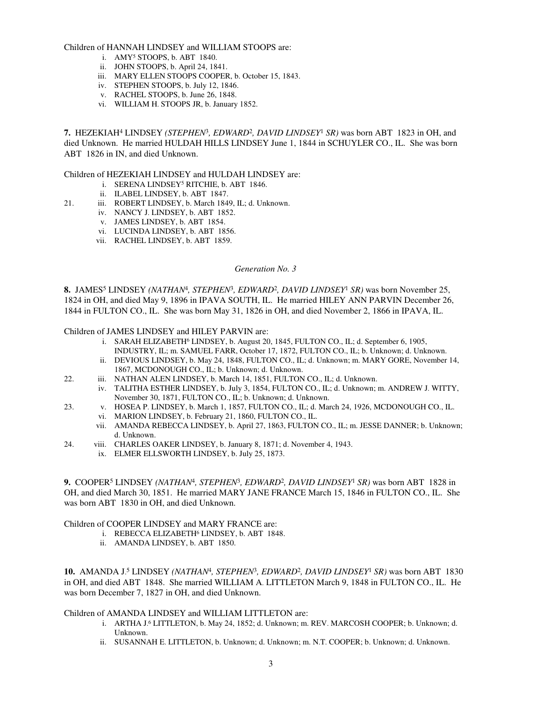Children of HANNAH LINDSEY and WILLIAM STOOPS are:

- i. AMY<sup>5</sup> STOOPS, b. ABT 1840.
- ii. JOHN STOOPS, b. April 24, 1841.
- iii. MARY ELLEN STOOPS COOPER, b. October 15, 1843.
- iv. STEPHEN STOOPS, b. July 12, 1846.
- v. RACHEL STOOPS, b. June 26, 1848.
- vi. WILLIAM H. STOOPS JR, b. January 1852.

**7.** HEZEKIAH<sup>4</sup> LINDSEY *(STEPHEN*<sup>3</sup> *, EDWARD*<sup>2</sup> *, DAVID LINDSEY*<sup>1</sup>  *SR)* was born ABT 1823 in OH, and died Unknown. He married HULDAH HILLS LINDSEY June 1, 1844 in SCHUYLER CO., IL. She was born ABT 1826 in IN, and died Unknown.

Children of HEZEKIAH LINDSEY and HULDAH LINDSEY are:

- i. SERENA LINDSEY<sup>5</sup> RITCHIE, b. ABT 1846.
- ii. ILABEL LINDSEY, b. ABT 1847.
- 21. iii. ROBERT LINDSEY, b. March 1849, IL; d. Unknown.
	- iv. NANCY J. LINDSEY, b. ABT 1852.
		- v. JAMES LINDSEY, b. ABT 1854.
		- vi. LUCINDA LINDSEY, b. ABT 1856.
		- vii. RACHEL LINDSEY, b. ABT 1859.

### *Generation No. 3*

**8.** JAMES<sup>5</sup> LINDSEY *(NATHAN*<sup>4</sup> *, STEPHEN*<sup>3</sup> *, EDWARD*<sup>2</sup> *, DAVID LINDSEY*<sup>1</sup>  *SR)* was born November 25, 1824 in OH, and died May 9, 1896 in IPAVA SOUTH, IL. He married HILEY ANN PARVIN December 26, 1844 in FULTON CO., IL. She was born May 31, 1826 in OH, and died November 2, 1866 in IPAVA, IL.

Children of JAMES LINDSEY and HILEY PARVIN are:

- i. SARAH ELIZABETH<sup>6</sup> LINDSEY, b. August 20, 1845, FULTON CO., IL; d. September 6, 1905, INDUSTRY, IL; m. SAMUEL FARR, October 17, 1872, FULTON CO., IL; b. Unknown; d. Unknown.
- ii. DEVIOUS LINDSEY, b. May 24, 1848, FULTON CO., IL; d. Unknown; m. MARY GORE, November 14, 1867, MCDONOUGH CO., IL; b. Unknown; d. Unknown.
- 22. iii. NATHAN ALEN LINDSEY, b. March 14, 1851, FULTON CO., IL; d. Unknown.
	- iv. TALITHA ESTHER LINDSEY, b. July 3, 1854, FULTON CO., IL; d. Unknown; m. ANDREW J. WITTY, November 30, 1871, FULTON CO., IL; b. Unknown; d. Unknown.
- 23. v. HOSEA P. LINDSEY, b. March 1, 1857, FULTON CO., IL; d. March 24, 1926, MCDONOUGH CO., IL.
	- vi. MARION LINDSEY, b. February 21, 1860, FULTON CO., IL.
		- vii. AMANDA REBECCA LINDSEY, b. April 27, 1863, FULTON CO., IL; m. JESSE DANNER; b. Unknown; d. Unknown.
- 24. viii. CHARLES OAKER LINDSEY, b. January 8, 1871; d. November 4, 1943.
	- ix. ELMER ELLSWORTH LINDSEY, b. July 25, 1873.

9. COOPER<sup>5</sup> LINDSEY (NATHAN<sup>4</sup>, STEPHEN<sup>3</sup>, EDWARD<sup>2</sup>, DAVID LINDSEY<sup>1</sup> SR) was born ABT 1828 in OH, and died March 30, 1851. He married MARY JANE FRANCE March 15, 1846 in FULTON CO., IL. She was born ABT 1830 in OH, and died Unknown.

#### Children of COOPER LINDSEY and MARY FRANCE are:

- i. REBECCA ELIZABETH<sup>6</sup> LINDSEY, b. ABT 1848.
- ii. AMANDA LINDSEY, b. ABT 1850.

**10.** AMANDA J. 5 LINDSEY *(NATHAN*<sup>4</sup> *, STEPHEN*<sup>3</sup> *, EDWARD*<sup>2</sup> *, DAVID LINDSEY*<sup>1</sup>  *SR)* was born ABT 1830 in OH, and died ABT 1848. She married WILLIAM A. LITTLETON March 9, 1848 in FULTON CO., IL. He was born December 7, 1827 in OH, and died Unknown.

### Children of AMANDA LINDSEY and WILLIAM LITTLETON are:

- i. ARTHA J. 6 LITTLETON, b. May 24, 1852; d. Unknown; m. REV. MARCOSH COOPER; b. Unknown; d. Unknown.
- ii. SUSANNAH E. LITTLETON, b. Unknown; d. Unknown; m. N.T. COOPER; b. Unknown; d. Unknown.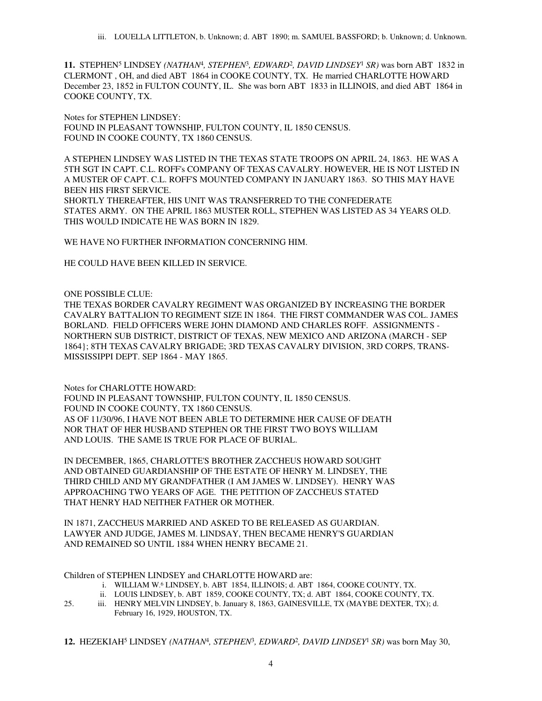11. STEPHEN<sup>5</sup> LINDSEY (NATHAN<sup>4</sup>, STEPHEN<sup>3</sup>, EDWARD<sup>2</sup>, DAVID LINDSEY<sup>1</sup> SR) was born ABT 1832 in CLERMONT , OH, and died ABT 1864 in COOKE COUNTY, TX. He married CHARLOTTE HOWARD December 23, 1852 in FULTON COUNTY, IL. She was born ABT 1833 in ILLINOIS, and died ABT 1864 in COOKE COUNTY, TX.

Notes for STEPHEN LINDSEY: FOUND IN PLEASANT TOWNSHIP, FULTON COUNTY, IL 1850 CENSUS. FOUND IN COOKE COUNTY, TX 1860 CENSUS.

A STEPHEN LINDSEY WAS LISTED IN THE TEXAS STATE TROOPS ON APRIL 24, 1863. HE WAS A 5TH SGT IN CAPT. C.L. ROFF's COMPANY OF TEXAS CAVALRY. HOWEVER, HE IS NOT LISTED IN A MUSTER OF CAPT. C.L. ROFF'S MOUNTED COMPANY IN JANUARY 1863. SO THIS MAY HAVE BEEN HIS FIRST SERVICE. SHORTLY THEREAFTER, HIS UNIT WAS TRANSFERRED TO THE CONFEDERATE STATES ARMY. ON THE APRIL 1863 MUSTER ROLL, STEPHEN WAS LISTED AS 34 YEARS OLD.

WE HAVE NO FURTHER INFORMATION CONCERNING HIM.

HE COULD HAVE BEEN KILLED IN SERVICE.

THIS WOULD INDICATE HE WAS BORN IN 1829.

## ONE POSSIBLE CLUE:

THE TEXAS BORDER CAVALRY REGIMENT WAS ORGANIZED BY INCREASING THE BORDER CAVALRY BATTALION TO REGIMENT SIZE IN 1864. THE FIRST COMMANDER WAS COL. JAMES BORLAND. FIELD OFFICERS WERE JOHN DIAMOND AND CHARLES ROFF. ASSIGNMENTS - NORTHERN SUB DISTRICT, DISTRICT OF TEXAS, NEW MEXICO AND ARIZONA (MARCH - SEP 1864}; 8TH TEXAS CAVALRY BRIGADE; 3RD TEXAS CAVALRY DIVISION, 3RD CORPS, TRANS-MISSISSIPPI DEPT. SEP 1864 - MAY 1865.

Notes for CHARLOTTE HOWARD:

FOUND IN PLEASANT TOWNSHIP, FULTON COUNTY, IL 1850 CENSUS. FOUND IN COOKE COUNTY, TX 1860 CENSUS. AS OF 11/30/96, I HAVE NOT BEEN ABLE TO DETERMINE HER CAUSE OF DEATH NOR THAT OF HER HUSBAND STEPHEN OR THE FIRST TWO BOYS WILLIAM AND LOUIS. THE SAME IS TRUE FOR PLACE OF BURIAL.

IN DECEMBER, 1865, CHARLOTTE'S BROTHER ZACCHEUS HOWARD SOUGHT AND OBTAINED GUARDIANSHIP OF THE ESTATE OF HENRY M. LINDSEY, THE THIRD CHILD AND MY GRANDFATHER (I AM JAMES W. LINDSEY). HENRY WAS APPROACHING TWO YEARS OF AGE. THE PETITION OF ZACCHEUS STATED THAT HENRY HAD NEITHER FATHER OR MOTHER.

IN 1871, ZACCHEUS MARRIED AND ASKED TO BE RELEASED AS GUARDIAN. LAWYER AND JUDGE, JAMES M. LINDSAY, THEN BECAME HENRY'S GUARDIAN AND REMAINED SO UNTIL 1884 WHEN HENRY BECAME 21.

Children of STEPHEN LINDSEY and CHARLOTTE HOWARD are:

- i. WILLIAM W. 6 LINDSEY, b. ABT 1854, ILLINOIS; d. ABT 1864, COOKE COUNTY, TX.
- ii. LOUIS LINDSEY, b. ABT 1859, COOKE COUNTY, TX; d. ABT 1864, COOKE COUNTY, TX.
- 25. iii. HENRY MELVIN LINDSEY, b. January 8, 1863, GAINESVILLE, TX (MAYBE DEXTER, TX); d. February 16, 1929, HOUSTON, TX.

**12.** HEZEKIAH<sup>5</sup> LINDSEY *(NATHAN*<sup>4</sup> *, STEPHEN*<sup>3</sup> *, EDWARD*<sup>2</sup> *, DAVID LINDSEY*<sup>1</sup>  *SR)* was born May 30,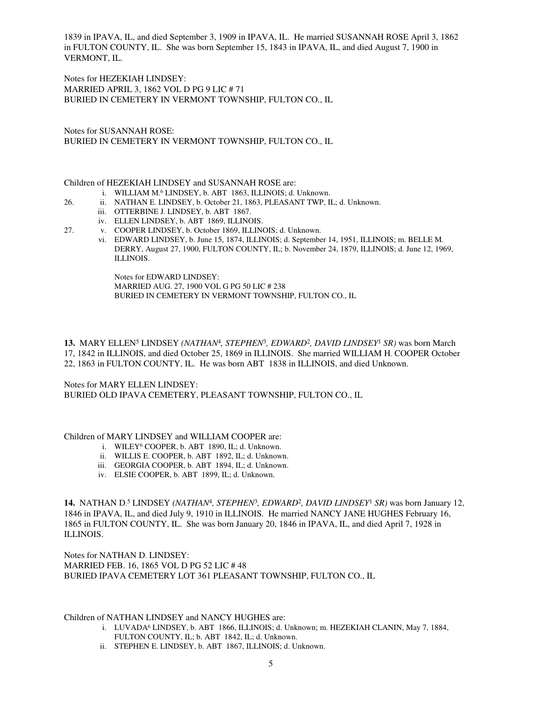1839 in IPAVA, IL, and died September 3, 1909 in IPAVA, IL. He married SUSANNAH ROSE April 3, 1862 in FULTON COUNTY, IL. She was born September 15, 1843 in IPAVA, IL, and died August 7, 1900 in VERMONT, IL.

Notes for HEZEKIAH LINDSEY: MARRIED APRIL 3, 1862 VOL D PG 9 LIC # 71 BURIED IN CEMETERY IN VERMONT TOWNSHIP, FULTON CO., IL

Notes for SUSANNAH ROSE: BURIED IN CEMETERY IN VERMONT TOWNSHIP, FULTON CO., IL

Children of HEZEKIAH LINDSEY and SUSANNAH ROSE are:

- i. WILLIAM M. 6 LINDSEY, b. ABT 1863, ILLINOIS; d. Unknown.
- 26. ii. NATHAN E. LINDSEY, b. October 21, 1863, PLEASANT TWP, IL; d. Unknown.
	- iii. OTTERBINE J. LINDSEY, b. ABT 1867.
	- iv. ELLEN LINDSEY, b. ABT 1869, ILLINOIS.
- 27. v. COOPER LINDSEY, b. October 1869, ILLINOIS; d. Unknown.
	- vi. EDWARD LINDSEY, b. June 15, 1874, ILLINOIS; d. September 14, 1951, ILLINOIS; m. BELLE M. DERRY, August 27, 1900, FULTON COUNTY, IL; b. November 24, 1879, ILLINOIS; d. June 12, 1969, ILLINOIS.

Notes for EDWARD LINDSEY: MARRIED AUG. 27, 1900 VOL G PG 50 LIC # 238 BURIED IN CEMETERY IN VERMONT TOWNSHIP, FULTON CO., IL

13. MARY ELLEN<sup>5</sup> LINDSEY (NATHAN<sup>4</sup>, STEPHEN<sup>3</sup>, EDWARD<sup>2</sup>, DAVID LINDSEY<sup>1</sup> SR) was born March 17, 1842 in ILLINOIS, and died October 25, 1869 in ILLINOIS. She married WILLIAM H. COOPER October 22, 1863 in FULTON COUNTY, IL. He was born ABT 1838 in ILLINOIS, and died Unknown.

Notes for MARY ELLEN LINDSEY: BURIED OLD IPAVA CEMETERY, PLEASANT TOWNSHIP, FULTON CO., IL

Children of MARY LINDSEY and WILLIAM COOPER are:

- i. WILEY<sup>6</sup> COOPER, b. ABT 1890, IL; d. Unknown.
- ii. WILLIS E. COOPER, b. ABT 1892, IL; d. Unknown.
- iii. GEORGIA COOPER, b. ABT 1894, IL; d. Unknown.
- iv. ELSIE COOPER, b. ABT 1899, IL; d. Unknown.

**14.** NATHAN D. 5 LINDSEY *(NATHAN*<sup>4</sup> *, STEPHEN*<sup>3</sup> *, EDWARD*<sup>2</sup> *, DAVID LINDSEY*<sup>1</sup>  *SR)* was born January 12, 1846 in IPAVA, IL, and died July 9, 1910 in ILLINOIS. He married NANCY JANE HUGHES February 16, 1865 in FULTON COUNTY, IL. She was born January 20, 1846 in IPAVA, IL, and died April 7, 1928 in ILLINOIS.

Notes for NATHAN D. LINDSEY: MARRIED FEB. 16, 1865 VOL D PG 52 LIC # 48 BURIED IPAVA CEMETERY LOT 361 PLEASANT TOWNSHIP, FULTON CO., IL

# Children of NATHAN LINDSEY and NANCY HUGHES are:

- i. LUVADA<sup>6</sup> LINDSEY, b. ABT 1866, ILLINOIS; d. Unknown; m. HEZEKIAH CLANIN, May 7, 1884, FULTON COUNTY, IL; b. ABT 1842, IL; d. Unknown.
- ii. STEPHEN E. LINDSEY, b. ABT 1867, ILLINOIS; d. Unknown.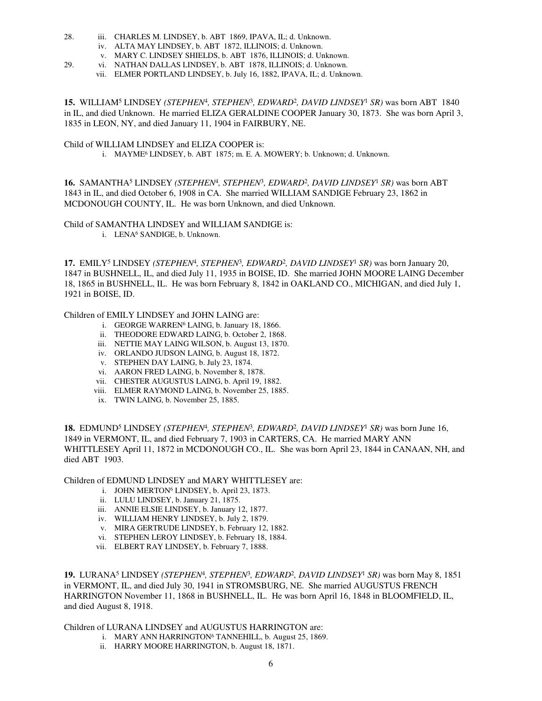- 28. iii. CHARLES M. LINDSEY, b. ABT 1869, IPAVA, IL; d. Unknown.
	- iv. ALTA MAY LINDSEY, b. ABT 1872, ILLINOIS; d. Unknown.
	- v. MARY C. LINDSEY SHIELDS, b. ABT 1876, ILLINOIS; d. Unknown.
- 29. vi. NATHAN DALLAS LINDSEY, b. ABT 1878, ILLINOIS; d. Unknown.
	- vii. ELMER PORTLAND LINDSEY, b. July 16, 1882, IPAVA, IL; d. Unknown.

15. WILLIAM<sup>5</sup> LINDSEY (STEPHEN<sup>4</sup>, STEPHEN<sup>3</sup>, EDWARD<sup>2</sup>, DAVID LINDSEY<sup>1</sup> SR) was born ABT 1840 in IL, and died Unknown. He married ELIZA GERALDINE COOPER January 30, 1873. She was born April 3, 1835 in LEON, NY, and died January 11, 1904 in FAIRBURY, NE.

#### Child of WILLIAM LINDSEY and ELIZA COOPER is:

i. MAYME<sup>6</sup> LINDSEY, b. ABT 1875; m. E. A. MOWERY; b. Unknown; d. Unknown.

16. SAMANTHA<sup>5</sup> LINDSEY (STEPHEN<sup>4</sup>, STEPHEN<sup>3</sup>, EDWARD<sup>2</sup>, DAVID LINDSEY<sup>1</sup> SR) was born ABT 1843 in IL, and died October 6, 1908 in CA. She married WILLIAM SANDIGE February 23, 1862 in MCDONOUGH COUNTY, IL. He was born Unknown, and died Unknown.

Child of SAMANTHA LINDSEY and WILLIAM SANDIGE is:

i. LENA<sup>6</sup> SANDIGE, b. Unknown.

17. EMILY<sup>5</sup> LINDSEY (STEPHEN<sup>4</sup>, STEPHEN<sup>3</sup>, EDWARD<sup>2</sup>, DAVID LINDSEY<sup>1</sup> SR) was born January 20, 1847 in BUSHNELL, IL, and died July 11, 1935 in BOISE, ID. She married JOHN MOORE LAING December 18, 1865 in BUSHNELL, IL. He was born February 8, 1842 in OAKLAND CO., MICHIGAN, and died July 1, 1921 in BOISE, ID.

Children of EMILY LINDSEY and JOHN LAING are:

- i. GEORGE WARREN<sup>6</sup> LAING, b. January 18, 1866.
- ii. THEODORE EDWARD LAING, b. October 2, 1868.
- iii. NETTIE MAY LAING WILSON, b. August 13, 1870.
- iv. ORLANDO JUDSON LAING, b. August 18, 1872.
- v. STEPHEN DAY LAING, b. July 23, 1874.
- vi. AARON FRED LAING, b. November 8, 1878.
- vii. CHESTER AUGUSTUS LAING, b. April 19, 1882.
- viii. ELMER RAYMOND LAING, b. November 25, 1885.
- ix. TWIN LAING, b. November 25, 1885.

18. EDMUND<sup>5</sup> LINDSEY (STEPHEN<sup>4</sup>, STEPHEN<sup>3</sup>, EDWARD<sup>2</sup>, DAVID LINDSEY<sup>1</sup> SR) was born June 16, 1849 in VERMONT, IL, and died February 7, 1903 in CARTERS, CA. He married MARY ANN WHITTLESEY April 11, 1872 in MCDONOUGH CO., IL. She was born April 23, 1844 in CANAAN, NH, and died ABT 1903.

Children of EDMUND LINDSEY and MARY WHITTLESEY are:

- i. JOHN MERTON<sup>6</sup> LINDSEY, b. April 23, 1873.
- ii. LULU LINDSEY, b. January 21, 1875.
- iii. ANNIE ELSIE LINDSEY, b. January 12, 1877.
- iv. WILLIAM HENRY LINDSEY, b. July 2, 1879.
- v. MIRA GERTRUDE LINDSEY, b. February 12, 1882.
- vi. STEPHEN LEROY LINDSEY, b. February 18, 1884.
- vii. ELBERT RAY LINDSEY, b. February 7, 1888.

19. LURANA<sup>5</sup> LINDSEY (STEPHEN<sup>4</sup>, STEPHEN<sup>3</sup>, EDWARD<sup>2</sup>, DAVID LINDSEY<sup>1</sup> SR) was born May 8, 1851 in VERMONT, IL, and died July 30, 1941 in STROMSBURG, NE. She married AUGUSTUS FRENCH HARRINGTON November 11, 1868 in BUSHNELL, IL. He was born April 16, 1848 in BLOOMFIELD, IL, and died August 8, 1918.

Children of LURANA LINDSEY and AUGUSTUS HARRINGTON are:

- i. MARY ANN HARRINGTON<sup>6</sup> TANNEHILL, b. August 25, 1869.
- ii. HARRY MOORE HARRINGTON, b. August 18, 1871.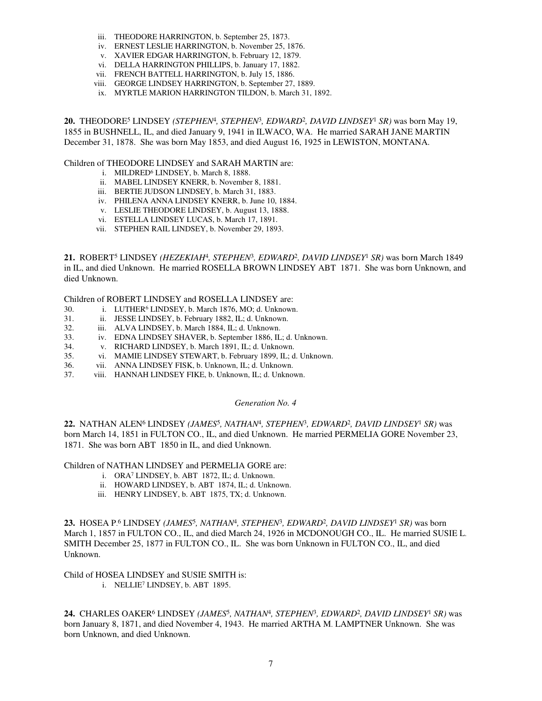- iii. THEODORE HARRINGTON, b. September 25, 1873.
- iv. ERNEST LESLIE HARRINGTON, b. November 25, 1876.
- v. XAVIER EDGAR HARRINGTON, b. February 12, 1879.
- vi. DELLA HARRINGTON PHILLIPS, b. January 17, 1882.
- vii. FRENCH BATTELL HARRINGTON, b. July 15, 1886.
- viii. GEORGE LINDSEY HARRINGTON, b. September 27, 1889.
- ix. MYRTLE MARION HARRINGTON TILDON, b. March 31, 1892.

**20.** THEODORE<sup>5</sup> LINDSEY *(STEPHEN*<sup>4</sup> *, STEPHEN*<sup>3</sup> *, EDWARD*<sup>2</sup> *, DAVID LINDSEY*<sup>1</sup>  *SR)* was born May 19, 1855 in BUSHNELL, IL, and died January 9, 1941 in ILWACO, WA. He married SARAH JANE MARTIN December 31, 1878. She was born May 1853, and died August 16, 1925 in LEWISTON, MONTANA.

Children of THEODORE LINDSEY and SARAH MARTIN are:

- i. MILDRED<sup>6</sup> LINDSEY, b. March 8, 1888.
- ii. MABEL LINDSEY KNERR, b. November 8, 1881.
- iii. BERTIE JUDSON LINDSEY, b. March 31, 1883.
- iv. PHILENA ANNA LINDSEY KNERR, b. June 10, 1884.
- v. LESLIE THEODORE LINDSEY, b. August 13, 1888.
- vi. ESTELLA LINDSEY LUCAS, b. March 17, 1891.
- vii. STEPHEN RAIL LINDSEY, b. November 29, 1893.

21. ROBERT<sup>5</sup> LINDSEY (HEZEKIAH<sup>4</sup>, STEPHEN<sup>3</sup>, EDWARD<sup>2</sup>, DAVID LINDSEY<sup>1</sup> SR) was born March 1849 in IL, and died Unknown. He married ROSELLA BROWN LINDSEY ABT 1871. She was born Unknown, and died Unknown.

Children of ROBERT LINDSEY and ROSELLA LINDSEY are:

- 30. i. LUTHER<sup>6</sup> LINDSEY, b. March 1876, MO; d. Unknown.
- 31. ii. JESSE LINDSEY, b. February 1882, IL; d. Unknown.
- 32. iii. ALVA LINDSEY, b. March 1884, IL; d. Unknown.
- 33. iv. EDNA LINDSEY SHAVER, b. September 1886, IL; d. Unknown.
- 34. v. RICHARD LINDSEY, b. March 1891, IL; d. Unknown.
- 35. vi. MAMIE LINDSEY STEWART, b. February 1899, IL; d. Unknown.
- 36. vii. ANNA LINDSEY FISK, b. Unknown, IL; d. Unknown.<br>37. viii. HANNAH LINDSEY FIKE, b. Unknown, IL; d. Unknow
- viii. HANNAH LINDSEY FIKE, b. Unknown, IL; d. Unknown.

#### *Generation No. 4*

22. NATHAN ALEN<sup>6</sup> LINDSEY (*JAMES<sup>5</sup>, NATHAN<sup>4</sup>, STEPHEN<sup>3</sup>, EDWARD<sup>2</sup>, DAVID LINDSEY<sup>1</sup> SR) was* born March 14, 1851 in FULTON CO., IL, and died Unknown. He married PERMELIA GORE November 23, 1871. She was born ABT 1850 in IL, and died Unknown.

Children of NATHAN LINDSEY and PERMELIA GORE are:

- i. ORA<sup>7</sup> LINDSEY, b. ABT 1872, IL; d. Unknown.
- ii. HOWARD LINDSEY, b. ABT 1874, IL; d. Unknown.
- iii. HENRY LINDSEY, b. ABT 1875, TX; d. Unknown.

23. HOSEA P.<sup>6</sup> LINDSEY (*JAMES<sup>5</sup>, NATHAN<sup>4</sup>, STEPHEN<sup>3</sup>, EDWARD<sup>2</sup>, DAVID LINDSEY<sup>1</sup> SR) was born* March 1, 1857 in FULTON CO., IL, and died March 24, 1926 in MCDONOUGH CO., IL. He married SUSIE L. SMITH December 25, 1877 in FULTON CO., IL. She was born Unknown in FULTON CO., IL, and died Unknown.

Child of HOSEA LINDSEY and SUSIE SMITH is:

i. NELLIE<sup>7</sup> LINDSEY, b. ABT 1895.

24. CHARLES OAKER<sup>6</sup> LINDSEY (*JAMES<sup>5</sup>, NATHAN<sup>4</sup>, STEPHEN<sup>3</sup>, EDWARD<sup>2</sup>, DAVID LINDSEY<sup>1</sup> SR) was* born January 8, 1871, and died November 4, 1943. He married ARTHA M. LAMPTNER Unknown. She was born Unknown, and died Unknown.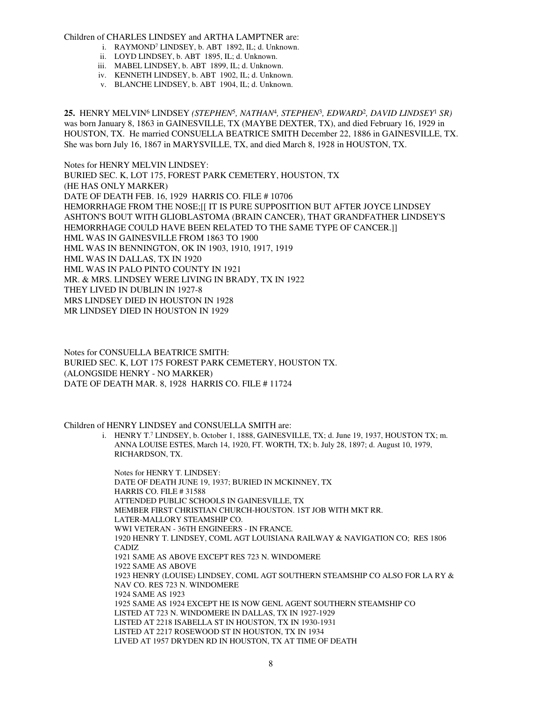#### Children of CHARLES LINDSEY and ARTHA LAMPTNER are:

- i. RAYMOND<sup>7</sup> LINDSEY, b. ABT 1892, IL; d. Unknown.
- ii. LOYD LINDSEY, b. ABT 1895, IL; d. Unknown.
- iii. MABEL LINDSEY, b. ABT 1899, IL; d. Unknown.
- iv. KENNETH LINDSEY, b. ABT 1902, IL; d. Unknown.
- v. BLANCHE LINDSEY, b. ABT 1904, IL; d. Unknown.

**25.** HENRY MELVIN<sup>6</sup> LINDSEY *(STEPHEN*<sup>5</sup> *, NATHAN*<sup>4</sup> *, STEPHEN*<sup>3</sup> *, EDWARD*<sup>2</sup> *, DAVID LINDSEY*<sup>1</sup>  *SR)* was born January 8, 1863 in GAINESVILLE, TX (MAYBE DEXTER, TX), and died February 16, 1929 in HOUSTON, TX. He married CONSUELLA BEATRICE SMITH December 22, 1886 in GAINESVILLE, TX. She was born July 16, 1867 in MARYSVILLE, TX, and died March 8, 1928 in HOUSTON, TX.

Notes for HENRY MELVIN LINDSEY: BURIED SEC. K, LOT 175, FOREST PARK CEMETERY, HOUSTON, TX (HE HAS ONLY MARKER) DATE OF DEATH FEB. 16, 1929 HARRIS CO. FILE # 10706 HEMORRHAGE FROM THE NOSE;[[ IT IS PURE SUPPOSITION BUT AFTER JOYCE LINDSEY ASHTON'S BOUT WITH GLIOBLASTOMA (BRAIN CANCER), THAT GRANDFATHER LINDSEY'S HEMORRHAGE COULD HAVE BEEN RELATED TO THE SAME TYPE OF CANCER.]] HML WAS IN GAINESVILLE FROM 1863 TO 1900 HML WAS IN BENNINGTON, OK IN 1903, 1910, 1917, 1919 HML WAS IN DALLAS, TX IN 1920 HML WAS IN PALO PINTO COUNTY IN 1921 MR. & MRS. LINDSEY WERE LIVING IN BRADY, TX IN 1922 THEY LIVED IN DUBLIN IN 1927-8 MRS LINDSEY DIED IN HOUSTON IN 1928 MR LINDSEY DIED IN HOUSTON IN 1929

Notes for CONSUELLA BEATRICE SMITH: BURIED SEC. K, LOT 175 FOREST PARK CEMETERY, HOUSTON TX. (ALONGSIDE HENRY - NO MARKER) DATE OF DEATH MAR. 8, 1928 HARRIS CO. FILE # 11724

Children of HENRY LINDSEY and CONSUELLA SMITH are:

i. HENRY T. 7 LINDSEY, b. October 1, 1888, GAINESVILLE, TX; d. June 19, 1937, HOUSTON TX; m. ANNA LOUISE ESTES, March 14, 1920, FT. WORTH, TX; b. July 28, 1897; d. August 10, 1979, RICHARDSON, TX.

Notes for HENRY T. LINDSEY: DATE OF DEATH JUNE 19, 1937; BURIED IN MCKINNEY, TX HARRIS CO. FILE # 31588 ATTENDED PUBLIC SCHOOLS IN GAINESVILLE, TX MEMBER FIRST CHRISTIAN CHURCH-HOUSTON. 1ST JOB WITH MKT RR. LATER-MALLORY STEAMSHIP CO. WWI VETERAN - 36TH ENGINEERS - IN FRANCE. 1920 HENRY T. LINDSEY, COML AGT LOUISIANA RAILWAY & NAVIGATION CO; RES 1806 CADIZ 1921 SAME AS ABOVE EXCEPT RES 723 N. WINDOMERE 1922 SAME AS ABOVE 1923 HENRY (LOUISE) LINDSEY, COML AGT SOUTHERN STEAMSHIP CO ALSO FOR LA RY & NAV CO. RES 723 N. WINDOMERE 1924 SAME AS 1923 1925 SAME AS 1924 EXCEPT HE IS NOW GENL AGENT SOUTHERN STEAMSHIP CO LISTED AT 723 N. WINDOMERE IN DALLAS, TX IN 1927-1929 LISTED AT 2218 ISABELLA ST IN HOUSTON, TX IN 1930-1931 LISTED AT 2217 ROSEWOOD ST IN HOUSTON, TX IN 1934 LIVED AT 1957 DRYDEN RD IN HOUSTON, TX AT TIME OF DEATH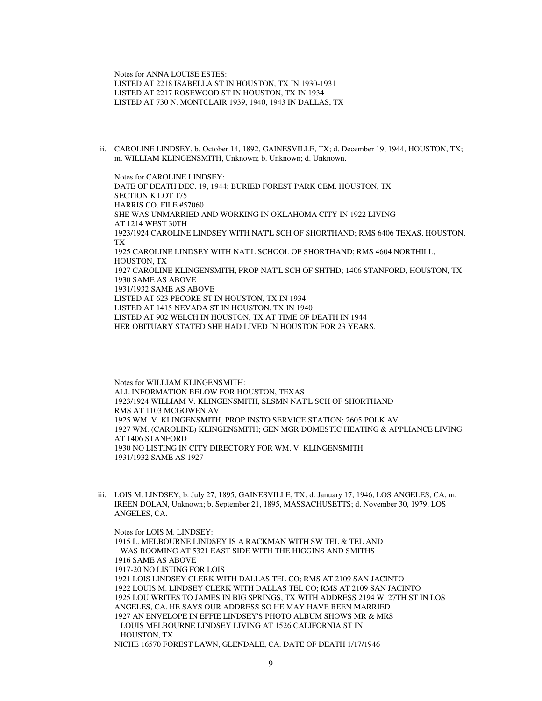Notes for ANNA LOUISE ESTES: LISTED AT 2218 ISABELLA ST IN HOUSTON, TX IN 1930-1931 LISTED AT 2217 ROSEWOOD ST IN HOUSTON, TX IN 1934 LISTED AT 730 N. MONTCLAIR 1939, 1940, 1943 IN DALLAS, TX

ii. CAROLINE LINDSEY, b. October 14, 1892, GAINESVILLE, TX; d. December 19, 1944, HOUSTON, TX; m. WILLIAM KLINGENSMITH, Unknown; b. Unknown; d. Unknown.

Notes for CAROLINE LINDSEY: DATE OF DEATH DEC. 19, 1944; BURIED FOREST PARK CEM. HOUSTON, TX SECTION K LOT 175 HARRIS CO. FILE #57060 SHE WAS UNMARRIED AND WORKING IN OKLAHOMA CITY IN 1922 LIVING AT 1214 WEST 30TH 1923/1924 CAROLINE LINDSEY WITH NAT'L SCH OF SHORTHAND; RMS 6406 TEXAS, HOUSTON, TX 1925 CAROLINE LINDSEY WITH NAT'L SCHOOL OF SHORTHAND; RMS 4604 NORTHILL, HOUSTON, TX 1927 CAROLINE KLINGENSMITH, PROP NAT'L SCH OF SHTHD; 1406 STANFORD, HOUSTON, TX 1930 SAME AS ABOVE 1931/1932 SAME AS ABOVE LISTED AT 623 PECORE ST IN HOUSTON, TX IN 1934 LISTED AT 1415 NEVADA ST IN HOUSTON, TX IN 1940 LISTED AT 902 WELCH IN HOUSTON, TX AT TIME OF DEATH IN 1944 HER OBITUARY STATED SHE HAD LIVED IN HOUSTON FOR 23 YEARS.

Notes for WILLIAM KLINGENSMITH: ALL INFORMATION BELOW FOR HOUSTON, TEXAS 1923/1924 WILLIAM V. KLINGENSMITH, SLSMN NAT'L SCH OF SHORTHAND RMS AT 1103 MCGOWEN AV 1925 WM. V. KLINGENSMITH, PROP INSTO SERVICE STATION; 2605 POLK AV 1927 WM. (CAROLINE) KLINGENSMITH; GEN MGR DOMESTIC HEATING & APPLIANCE LIVING AT 1406 STANFORD 1930 NO LISTING IN CITY DIRECTORY FOR WM. V. KLINGENSMITH 1931/1932 SAME AS 1927

iii. LOIS M. LINDSEY, b. July 27, 1895, GAINESVILLE, TX; d. January 17, 1946, LOS ANGELES, CA; m. IREEN DOLAN, Unknown; b. September 21, 1895, MASSACHUSETTS; d. November 30, 1979, LOS ANGELES, CA.

Notes for LOIS M. LINDSEY: 1915 L. MELBOURNE LINDSEY IS A RACKMAN WITH SW TEL & TEL AND WAS ROOMING AT 5321 EAST SIDE WITH THE HIGGINS AND SMITHS 1916 SAME AS ABOVE 1917-20 NO LISTING FOR LOIS 1921 LOIS LINDSEY CLERK WITH DALLAS TEL CO; RMS AT 2109 SAN JACINTO 1922 LOUIS M. LINDSEY CLERK WITH DALLAS TEL CO; RMS AT 2109 SAN JACINTO 1925 LOU WRITES TO JAMES IN BIG SPRINGS, TX WITH ADDRESS 2194 W. 27TH ST IN LOS ANGELES, CA. HE SAYS OUR ADDRESS SO HE MAY HAVE BEEN MARRIED 1927 AN ENVELOPE IN EFFIE LINDSEY'S PHOTO ALBUM SHOWS MR & MRS LOUIS MELBOURNE LINDSEY LIVING AT 1526 CALIFORNIA ST IN HOUSTON, TX NICHE 16570 FOREST LAWN, GLENDALE, CA. DATE OF DEATH 1/17/1946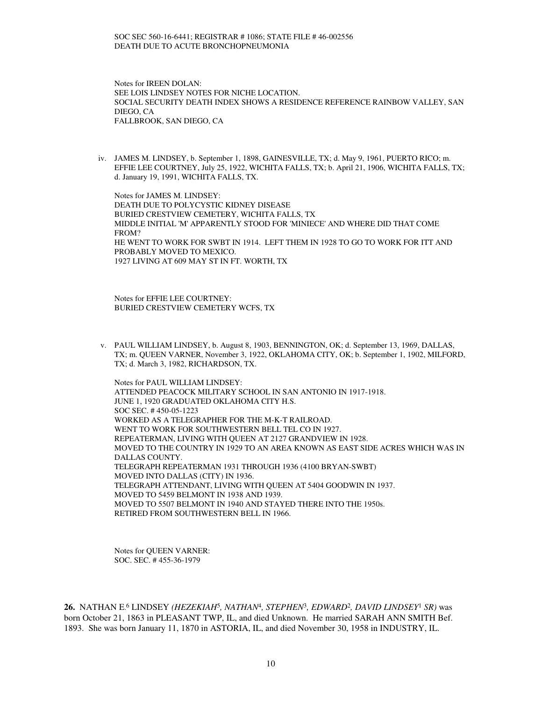Notes for IREEN DOLAN: SEE LOIS LINDSEY NOTES FOR NICHE LOCATION. SOCIAL SECURITY DEATH INDEX SHOWS A RESIDENCE REFERENCE RAINBOW VALLEY, SAN DIEGO, CA FALLBROOK, SAN DIEGO, CA

iv. JAMES M. LINDSEY, b. September 1, 1898, GAINESVILLE, TX; d. May 9, 1961, PUERTO RICO; m. EFFIE LEE COURTNEY, July 25, 1922, WICHITA FALLS, TX; b. April 21, 1906, WICHITA FALLS, TX; d. January 19, 1991, WICHITA FALLS, TX.

Notes for JAMES M. LINDSEY: DEATH DUE TO POLYCYSTIC KIDNEY DISEASE BURIED CRESTVIEW CEMETERY, WICHITA FALLS, TX MIDDLE INITIAL 'M' APPARENTLY STOOD FOR 'MINIECE' AND WHERE DID THAT COME FROM? HE WENT TO WORK FOR SWBT IN 1914. LEFT THEM IN 1928 TO GO TO WORK FOR ITT AND PROBABLY MOVED TO MEXICO. 1927 LIVING AT 609 MAY ST IN FT. WORTH, TX

Notes for EFFIE LEE COURTNEY: BURIED CRESTVIEW CEMETERY WCFS, TX

v. PAUL WILLIAM LINDSEY, b. August 8, 1903, BENNINGTON, OK; d. September 13, 1969, DALLAS, TX; m. QUEEN VARNER, November 3, 1922, OKLAHOMA CITY, OK; b. September 1, 1902, MILFORD, TX; d. March 3, 1982, RICHARDSON, TX.

Notes for PAUL WILLIAM LINDSEY: ATTENDED PEACOCK MILITARY SCHOOL IN SAN ANTONIO IN 1917-1918. JUNE 1, 1920 GRADUATED OKLAHOMA CITY H.S. SOC SEC. # 450-05-1223 WORKED AS A TELEGRAPHER FOR THE M-K-T RAILROAD. WENT TO WORK FOR SOUTHWESTERN BELL TEL CO IN 1927. REPEATERMAN, LIVING WITH QUEEN AT 2127 GRANDVIEW IN 1928. MOVED TO THE COUNTRY IN 1929 TO AN AREA KNOWN AS EAST SIDE ACRES WHICH WAS IN DALLAS COUNTY. TELEGRAPH REPEATERMAN 1931 THROUGH 1936 (4100 BRYAN-SWBT) MOVED INTO DALLAS (CITY) IN 1936. TELEGRAPH ATTENDANT, LIVING WITH QUEEN AT 5404 GOODWIN IN 1937. MOVED TO 5459 BELMONT IN 1938 AND 1939. MOVED TO 5507 BELMONT IN 1940 AND STAYED THERE INTO THE 1950s. RETIRED FROM SOUTHWESTERN BELL IN 1966.

Notes for QUEEN VARNER: SOC. SEC. # 455-36-1979

26. NATHAN E.<sup>6</sup> LINDSEY (HEZEKIAH<sup>5</sup>, NATHAN<sup>4</sup>, STEPHEN<sup>3</sup>, EDWARD<sup>2</sup>, DAVID LINDSEY<sup>1</sup> SR) was born October 21, 1863 in PLEASANT TWP, IL, and died Unknown. He married SARAH ANN SMITH Bef. 1893. She was born January 11, 1870 in ASTORIA, IL, and died November 30, 1958 in INDUSTRY, IL.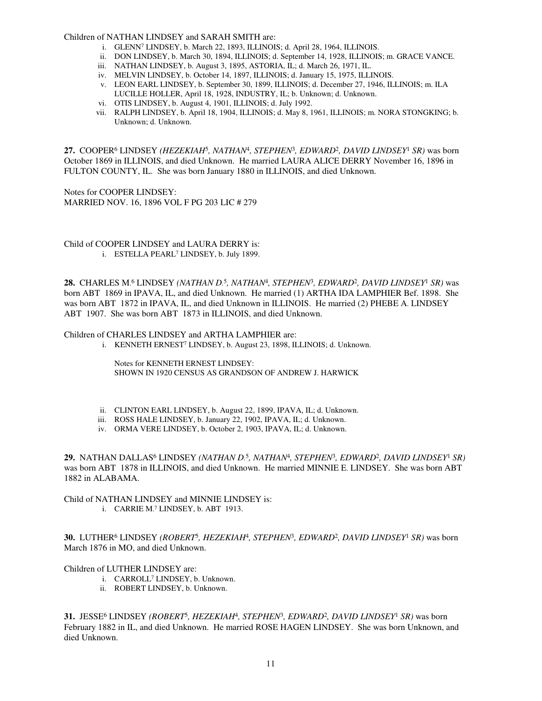#### Children of NATHAN LINDSEY and SARAH SMITH are:

- i. GLENN<sup>7</sup> LINDSEY, b. March 22, 1893, ILLINOIS; d. April 28, 1964, ILLINOIS.
- ii. DON LINDSEY, b. March 30, 1894, ILLINOIS; d. September 14, 1928, ILLINOIS; m. GRACE VANCE.
- iii. NATHAN LINDSEY, b. August 3, 1895, ASTORIA, IL; d. March 26, 1971, IL.
- iv. MELVIN LINDSEY, b. October 14, 1897, ILLINOIS; d. January 15, 1975, ILLINOIS.
- v. LEON EARL LINDSEY, b. September 30, 1899, ILLINOIS; d. December 27, 1946, ILLINOIS; m. ILA LUCILLE HOLLER, April 18, 1928, INDUSTRY, IL; b. Unknown; d. Unknown.
- vi. OTIS LINDSEY, b. August 4, 1901, ILLINOIS; d. July 1992.
- vii. RALPH LINDSEY, b. April 18, 1904, ILLINOIS; d. May 8, 1961, ILLINOIS; m. NORA STONGKING; b. Unknown; d. Unknown.

**27.** COOPER<sup>6</sup> LINDSEY *(HEZEKIAH*<sup>5</sup> *, NATHAN*<sup>4</sup> *, STEPHEN*<sup>3</sup> *, EDWARD*<sup>2</sup> *, DAVID LINDSEY*<sup>1</sup>  *SR)* was born October 1869 in ILLINOIS, and died Unknown. He married LAURA ALICE DERRY November 16, 1896 in FULTON COUNTY, IL. She was born January 1880 in ILLINOIS, and died Unknown.

Notes for COOPER LINDSEY: MARRIED NOV. 16, 1896 VOL F PG 203 LIC # 279

Child of COOPER LINDSEY and LAURA DERRY is: i. ESTELLA PEARL<sup>7</sup> LINDSEY, b. July 1899.

28. CHARLES M.<sup>6</sup> LINDSEY (NATHAN D.<sup>5</sup>, NATHAN<sup>4</sup>, STEPHEN<sup>3</sup>, EDWARD<sup>2</sup>, DAVID LINDSEY<sup>1</sup> SR) was born ABT 1869 in IPAVA, IL, and died Unknown. He married (1) ARTHA IDA LAMPHIER Bef. 1898. She was born ABT 1872 in IPAVA, IL, and died Unknown in ILLINOIS. He married (2) PHEBE A. LINDSEY ABT 1907. She was born ABT 1873 in ILLINOIS, and died Unknown.

Children of CHARLES LINDSEY and ARTHA LAMPHIER are:

i. KENNETH ERNEST<sup>7</sup> LINDSEY, b. August 23, 1898, ILLINOIS; d. Unknown.

Notes for KENNETH ERNEST LINDSEY: SHOWN IN 1920 CENSUS AS GRANDSON OF ANDREW J. HARWICK

- ii. CLINTON EARL LINDSEY, b. August 22, 1899, IPAVA, IL; d. Unknown.
- iii. ROSS HALE LINDSEY, b. January 22, 1902, IPAVA, IL; d. Unknown.
- iv. ORMA VERE LINDSEY, b. October 2, 1903, IPAVA, IL; d. Unknown.

29. NATHAN DALLAS<sup>6</sup> LINDSEY (NATHAN D.<sup>5</sup>, NATHAN<sup>4</sup>, STEPHEN<sup>3</sup>, EDWARD<sup>2</sup>, DAVID LINDSEY<sup>1</sup> SR) was born ABT 1878 in ILLINOIS, and died Unknown. He married MINNIE E. LINDSEY. She was born ABT 1882 in ALABAMA.

Child of NATHAN LINDSEY and MINNIE LINDSEY is: i. CARRIE M. 7 LINDSEY, b. ABT 1913.

**30.** LUTHER<sup>6</sup> LINDSEY *(ROBERT*<sup>5</sup> *, HEZEKIAH*<sup>4</sup> *, STEPHEN*<sup>3</sup> *, EDWARD*<sup>2</sup> *, DAVID LINDSEY*<sup>1</sup>  *SR)* was born March 1876 in MO, and died Unknown.

# Children of LUTHER LINDSEY are:

- i. CARROLL<sup>7</sup> LINDSEY, b. Unknown.
- ii. ROBERT LINDSEY, b. Unknown.

**31.** JESSE<sup>6</sup> LINDSEY *(ROBERT*<sup>5</sup> *, HEZEKIAH*<sup>4</sup> *, STEPHEN*<sup>3</sup> *, EDWARD*<sup>2</sup> *, DAVID LINDSEY*<sup>1</sup>  *SR)* was born February 1882 in IL, and died Unknown. He married ROSE HAGEN LINDSEY. She was born Unknown, and died Unknown.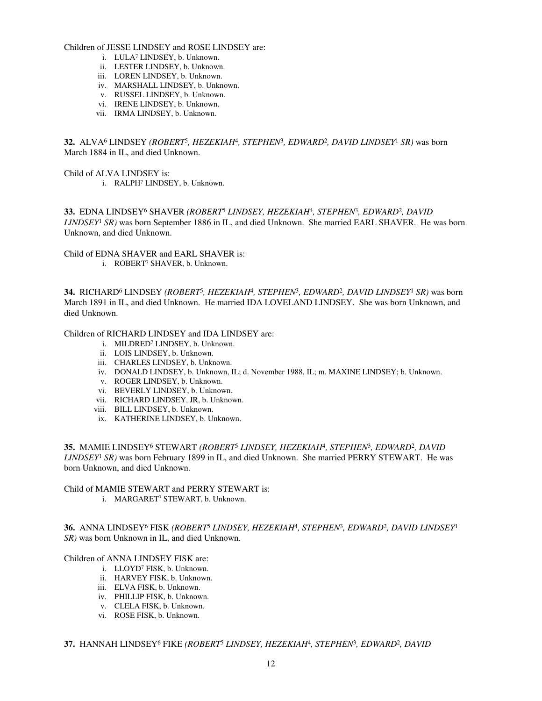#### Children of JESSE LINDSEY and ROSE LINDSEY are:

- i. LULA<sup>7</sup> LINDSEY, b. Unknown.
- ii. LESTER LINDSEY, b. Unknown.
- iii. LOREN LINDSEY, b. Unknown.
- iv. MARSHALL LINDSEY, b. Unknown.
- v. RUSSEL LINDSEY, b. Unknown.
- vi. IRENE LINDSEY, b. Unknown.
- vii. IRMA LINDSEY, b. Unknown.

**32.** ALVA<sup>6</sup> LINDSEY *(ROBERT*<sup>5</sup> *, HEZEKIAH*<sup>4</sup> *, STEPHEN*<sup>3</sup> *, EDWARD*<sup>2</sup> *, DAVID LINDSEY*<sup>1</sup>  *SR)* was born March 1884 in IL, and died Unknown.

Child of ALVA LINDSEY is:

i. RALPH<sup>7</sup> LINDSEY, b. Unknown.

33. EDNA LINDSEY<sup>6</sup> SHAVER (ROBERT<sup>5</sup> LINDSEY, HEZEKIAH<sup>4</sup>, STEPHEN<sup>3</sup>, EDWARD<sup>2</sup>, DAVID *LINDSEY*<sup>1</sup>  *SR)* was born September 1886 in IL, and died Unknown. She married EARL SHAVER. He was born Unknown, and died Unknown.

Child of EDNA SHAVER and EARL SHAVER is: i. ROBERT<sup>7</sup> SHAVER, b. Unknown.

**34.** RICHARD<sup>6</sup> LINDSEY *(ROBERT*<sup>5</sup> *, HEZEKIAH*<sup>4</sup> *, STEPHEN*<sup>3</sup> *, EDWARD*<sup>2</sup> *, DAVID LINDSEY*<sup>1</sup>  *SR)* was born March 1891 in IL, and died Unknown. He married IDA LOVELAND LINDSEY. She was born Unknown, and died Unknown.

## Children of RICHARD LINDSEY and IDA LINDSEY are:

- i. MILDRED<sup>7</sup> LINDSEY, b. Unknown.
- ii. LOIS LINDSEY, b. Unknown.
- iii. CHARLES LINDSEY, b. Unknown.
- iv. DONALD LINDSEY, b. Unknown, IL; d. November 1988, IL; m. MAXINE LINDSEY; b. Unknown.
- v. ROGER LINDSEY, b. Unknown.
- vi. BEVERLY LINDSEY, b. Unknown.
- vii. RICHARD LINDSEY, JR, b. Unknown.
- viii. BILL LINDSEY, b. Unknown.
- ix. KATHERINE LINDSEY, b. Unknown.

35. MAMIE LINDSEY<sup>6</sup> STEWART (ROBERT<sup>5</sup> LINDSEY, HEZEKIAH<sup>4</sup>, STEPHEN<sup>3</sup>, EDWARD<sup>2</sup>, DAVID *LINDSEY*<sup>1</sup>  *SR)* was born February 1899 in IL, and died Unknown. She married PERRY STEWART. He was born Unknown, and died Unknown.

#### Child of MAMIE STEWART and PERRY STEWART is:

i. MARGARET<sup>7</sup> STEWART, b. Unknown.

**36.** ANNA LINDSEY<sup>6</sup> FISK *(ROBERT*<sup>5</sup>  *LINDSEY, HEZEKIAH*<sup>4</sup> *, STEPHEN*<sup>3</sup> *, EDWARD*<sup>2</sup> *, DAVID LINDSEY*<sup>1</sup> *SR)* was born Unknown in IL, and died Unknown.

Children of ANNA LINDSEY FISK are:

- i. LLOYD<sup>7</sup> FISK, b. Unknown.
- ii. HARVEY FISK, b. Unknown.
- iii. ELVA FISK, b. Unknown.
- iv. PHILLIP FISK, b. Unknown.
- v. CLELA FISK, b. Unknown.
- vi. ROSE FISK, b. Unknown.

**37.** HANNAH LINDSEY<sup>6</sup> FIKE *(ROBERT*<sup>5</sup>  *LINDSEY, HEZEKIAH*<sup>4</sup> *, STEPHEN*<sup>3</sup> *, EDWARD*<sup>2</sup> *, DAVID*